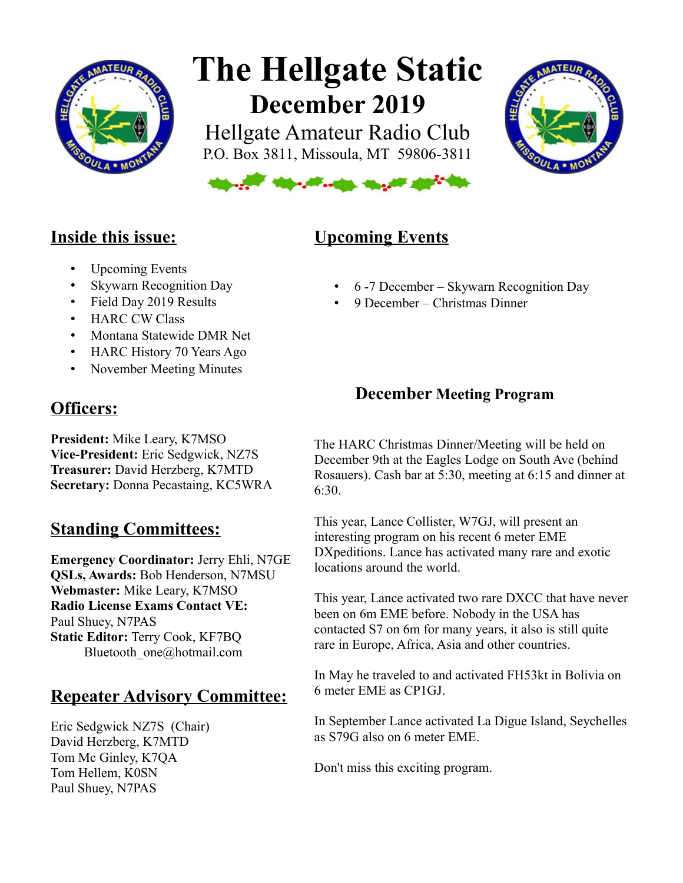

# **The Hellgate Static December 2019**

Hellgate Amateur Radio Club P.O. Box 3811, Missoula, MT 59806-3811





## **Inside this issue:**

- Upcoming Events
- Skywarn Recognition Day
- Field Day 2019 Results
- HARC CW Class
- Montana Statewide DMR Net
- HARC History 70 Years Ago
- November Meeting Minutes

## **Officers:**

**President:** Mike Leary, K7MSO **Vice-President:** Eric Sedgwick, NZ7S **Treasurer:** David Herzberg, K7MTD **Secretary:** Donna Pecastaing, KC5WRA

# **Standing Committees:**

**Emergency Coordinator:** Jerry Ehli, N7GE **QSLs, Awards:** Bob Henderson, N7MSU **Webmaster:** Mike Leary, K7MSO **Radio License Exams Contact VE:** Paul Shuey, N7PAS **Static Editor:** Terry Cook, KF7BQ Bluetooth one@hotmail.com

# **Repeater Advisory Committee:**

Eric Sedgwick NZ7S (Chair) David Herzberg, K7MTD Tom Mc Ginley, K7QA Tom Hellem, K0SN Paul Shuey, N7PAS

# **Upcoming Events**

- 6 -7 December Skywarn Recognition Day
- 9 December Christmas Dinner

## **December Meeting Program**

The HARC Christmas Dinner/Meeting will be held on December 9th at the Eagles Lodge on South Ave (behind Rosauers). Cash bar at 5:30, meeting at 6:15 and dinner at 6:30.

This year, Lance Collister, W7GJ, will present an interesting program on his recent 6 meter EME DXpeditions. Lance has activated many rare and exotic locations around the world.

This year, Lance activated two rare DXCC that have never been on 6m EME before. Nobody in the USA has contacted S7 on 6m for many years, it also is still quite rare in Europe, Africa, Asia and other countries.

In May he traveled to and activated FH53kt in Bolivia on 6 meter EME as CP1GJ.

In September Lance activated La Digue Island, Seychelles as S79G also on 6 meter EME.

Don't miss this exciting program.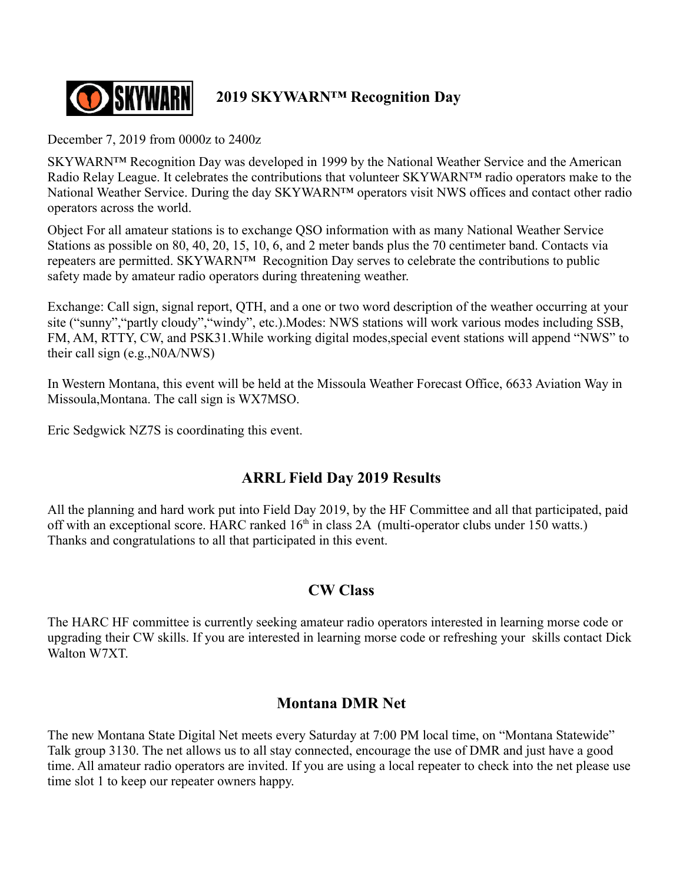

## **2019 SKYWARN™ Recognition Day**

December 7, 2019 from 0000z to 2400z

SKYWARN™ Recognition Day was developed in 1999 by the National Weather Service and the American Radio Relay League. It celebrates the contributions that volunteer SKYWARN™ radio operators make to the National Weather Service. During the day SKYWARN™ operators visit NWS offices and contact other radio operators across the world.

Object For all amateur stations is to exchange QSO information with as many National Weather Service Stations as possible on 80, 40, 20, 15, 10, 6, and 2 meter bands plus the 70 centimeter band. Contacts via repeaters are permitted. SKYWARN™ Recognition Day serves to celebrate the contributions to public safety made by amateur radio operators during threatening weather.

Exchange: Call sign, signal report, QTH, and a one or two word description of the weather occurring at your site ("sunny","partly cloudy","windy", etc.).Modes: NWS stations will work various modes including SSB, FM, AM, RTTY, CW, and PSK31.While working digital modes,special event stations will append "NWS" to their call sign (e.g.,N0A/NWS)

In Western Montana, this event will be held at the Missoula Weather Forecast Office, 6633 Aviation Way in Missoula,Montana. The call sign is WX7MSO.

Eric Sedgwick NZ7S is coordinating this event.

## **ARRL Field Day 2019 Results**

All the planning and hard work put into Field Day 2019, by the HF Committee and all that participated, paid off with an exceptional score. HARC ranked  $16<sup>th</sup>$  in class 2A (multi-operator clubs under 150 watts.) Thanks and congratulations to all that participated in this event.

#### **CW Class**

The HARC HF committee is currently seeking amateur radio operators interested in learning morse code or upgrading their CW skills. If you are interested in learning morse code or refreshing your skills contact Dick Walton W7XT.

#### **Montana DMR Net**

The new Montana State Digital Net meets every Saturday at 7:00 PM local time, on "Montana Statewide" Talk group 3130. The net allows us to all stay connected, encourage the use of DMR and just have a good time. All amateur radio operators are invited. If you are using a local repeater to check into the net please use time slot 1 to keep our repeater owners happy.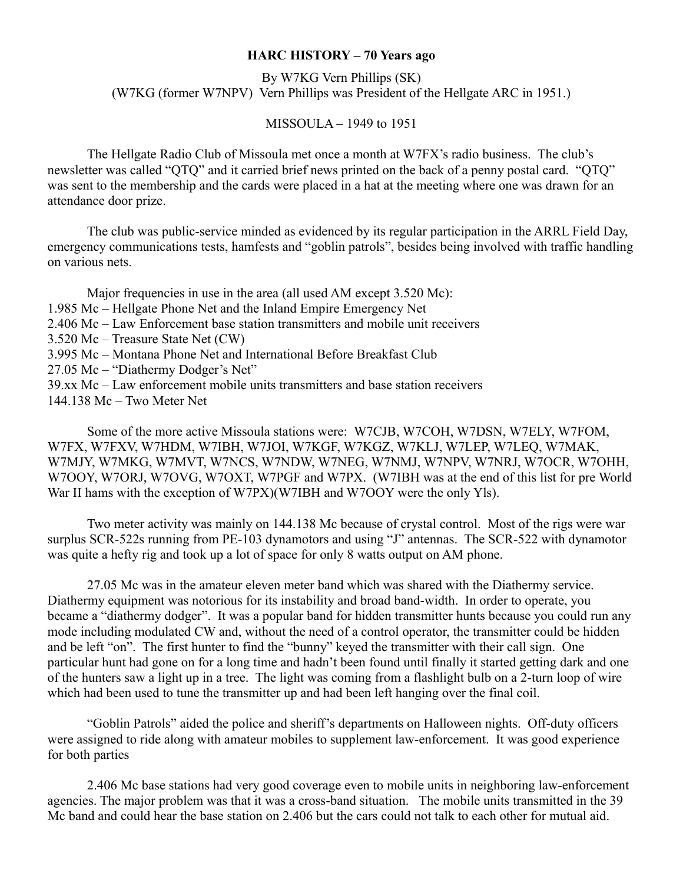#### **HARC HISTORY – 70 Years ago**

By W7KG Vern Phillips (SK) (W7KG (former W7NPV) Vern Phillips was President of the Hellgate ARC in 1951.)

MISSOULA – 1949 to 1951

The Hellgate Radio Club of Missoula met once a month at W7FX's radio business. The club's newsletter was called "QTQ" and it carried brief news printed on the back of a penny postal card. "QTQ" was sent to the membership and the cards were placed in a hat at the meeting where one was drawn for an attendance door prize.

The club was public-service minded as evidenced by its regular participation in the ARRL Field Day, emergency communications tests, hamfests and "goblin patrols", besides being involved with traffic handling on various nets.

Major frequencies in use in the area (all used AM except 3.520 Mc): 1.985 Mc – Hellgate Phone Net and the Inland Empire Emergency Net 2.406 Mc – Law Enforcement base station transmitters and mobile unit receivers 3.520 Mc – Treasure State Net (CW) 3.995 Mc – Montana Phone Net and International Before Breakfast Club 27.05 Mc – "Diathermy Dodger's Net" 39.xx Mc – Law enforcement mobile units transmitters and base station receivers 144.138 Mc – Two Meter Net

Some of the more active Missoula stations were: W7CJB, W7COH, W7DSN, W7ELY, W7FOM, W7FX, W7FXV, W7HDM, W7IBH, W7JOI, W7KGF, W7KGZ, W7KLJ, W7LEP, W7LEQ, W7MAK, W7MJY, W7MKG, W7MVT, W7NCS, W7NDW, W7NEG, W7NMJ, W7NPV, W7NRJ, W7OCR, W7OHH, W7OOY, W7ORJ, W7OVG, W7OXT, W7PGF and W7PX. (W7IBH was at the end of this list for pre World War II hams with the exception of W7PX)(W7IBH and W7OOY were the only Yls).

Two meter activity was mainly on 144.138 Mc because of crystal control. Most of the rigs were war surplus SCR-522s running from PE-103 dynamotors and using "J" antennas. The SCR-522 with dynamotor was quite a hefty rig and took up a lot of space for only 8 watts output on AM phone.

27.05 Mc was in the amateur eleven meter band which was shared with the Diathermy service. Diathermy equipment was notorious for its instability and broad band-width. In order to operate, you became a "diathermy dodger". It was a popular band for hidden transmitter hunts because you could run any mode including modulated CW and, without the need of a control operator, the transmitter could be hidden and be left "on". The first hunter to find the "bunny" keyed the transmitter with their call sign. One particular hunt had gone on for a long time and hadn't been found until finally it started getting dark and one of the hunters saw a light up in a tree. The light was coming from a flashlight bulb on a 2-turn loop of wire which had been used to tune the transmitter up and had been left hanging over the final coil.

"Goblin Patrols" aided the police and sheriff's departments on Halloween nights. Off-duty officers were assigned to ride along with amateur mobiles to supplement law-enforcement. It was good experience for both parties

2.406 Mc base stations had very good coverage even to mobile units in neighboring law-enforcement agencies. The major problem was that it was a cross-band situation. The mobile units transmitted in the 39 Mc band and could hear the base station on 2.406 but the cars could not talk to each other for mutual aid.